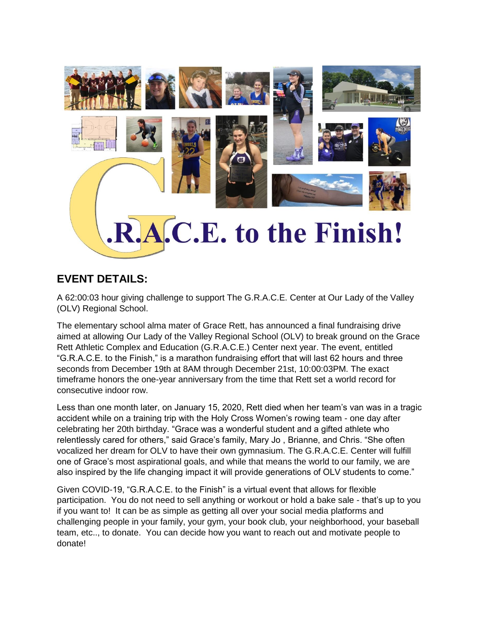

## **EVENT DETAILS:**

A 62:00:03 hour giving challenge to support The G.R.A.C.E. Center at Our Lady of the Valley (OLV) Regional School.

The elementary school alma mater of Grace Rett, has announced a final fundraising drive aimed at allowing Our Lady of the Valley Regional School (OLV) to break ground on the Grace Rett Athletic Complex and Education (G.R.A.C.E.) Center next year. The event, entitled "G.R.A.C.E. to the Finish," is a marathon fundraising effort that will last 62 hours and three seconds from December 19th at 8AM through December 21st, 10:00:03PM. The exact timeframe honors the one-year anniversary from the time that Rett set a world record for consecutive indoor row.

Less than one month later, on January 15, 2020, Rett died when her team's van was in a tragic accident while on a training trip with the Holy Cross Women's rowing team - one day after celebrating her 20th birthday. "Grace was a wonderful student and a gifted athlete who relentlessly cared for others," said Grace's family, Mary Jo , Brianne, and Chris. "She often vocalized her dream for OLV to have their own gymnasium. The G.R.A.C.E. Center will fulfill one of Grace's most aspirational goals, and while that means the world to our family, we are also inspired by the life changing impact it will provide generations of OLV students to come."

Given COVID-19, "G.R.A.C.E. to the Finish" is a virtual event that allows for flexible participation. You do not need to sell anything or workout or hold a bake sale - that's up to you if you want to! It can be as simple as getting all over your social media platforms and challenging people in your family, your gym, your book club, your neighborhood, your baseball team, etc.., to donate. You can decide how you want to reach out and motivate people to donate!